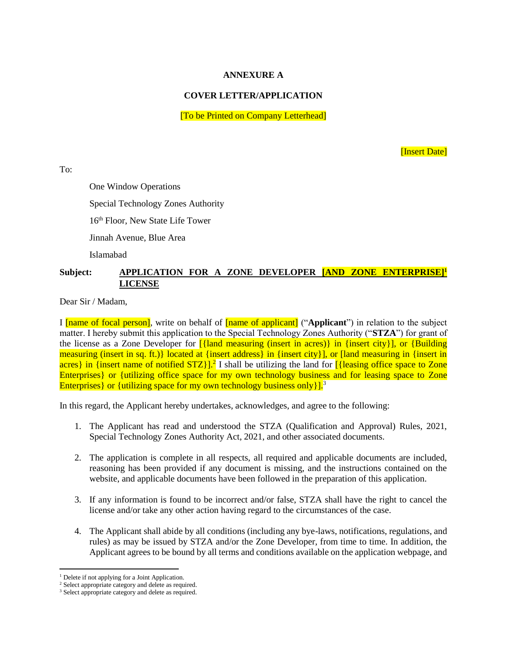## **ANNEXURE A**

## **COVER LETTER/APPLICATION**

[To be Printed on Company Letterhead]

[Insert Date]

To:

One Window Operations

Special Technology Zones Authority

16<sup>th</sup> Floor, New State Life Tower

Jinnah Avenue, Blue Area

Islamabad

## **Subject: APPLICATION FOR A ZONE DEVELOPER [AND ZONE ENTERPRISE]<sup>1</sup> LICENSE**

Dear Sir / Madam,

I [name of focal person], write on behalf of [name of applicant] ("**Applicant**") in relation to the subject matter. I hereby submit this application to the Special Technology Zones Authority ("**STZA**") for grant of the license as a Zone Developer for [{land measuring (insert in acres)} in {insert city}], or {Building measuring (insert in sq. ft.)} located at {insert address} in {insert city}], or [land measuring in {insert in acres} in {insert name of notified STZ}].<sup>2</sup> I shall be utilizing the land for [{leasing office space to Zone Enterprises} or {utilizing office space for my own technology business and for leasing space to Zone Enterprises} or {utilizing space for my own technology business only  $l^3$ .

In this regard, the Applicant hereby undertakes, acknowledges, and agree to the following:

- 1. The Applicant has read and understood the STZA (Qualification and Approval) Rules, 2021, Special Technology Zones Authority Act, 2021, and other associated documents.
- 2. The application is complete in all respects, all required and applicable documents are included, reasoning has been provided if any document is missing, and the instructions contained on the website, and applicable documents have been followed in the preparation of this application.
- 3. If any information is found to be incorrect and/or false, STZA shall have the right to cancel the license and/or take any other action having regard to the circumstances of the case.
- 4. The Applicant shall abide by all conditions (including any bye-laws, notifications, regulations, and rules) as may be issued by STZA and/or the Zone Developer, from time to time. In addition, the Applicant agrees to be bound by all terms and conditions available on the application webpage, and

 $\overline{\phantom{a}}$ 

<sup>&</sup>lt;sup>1</sup> Delete if not applying for a Joint Application.

<sup>&</sup>lt;sup>2</sup> Select appropriate category and delete as required.

<sup>&</sup>lt;sup>3</sup> Select appropriate category and delete as required.